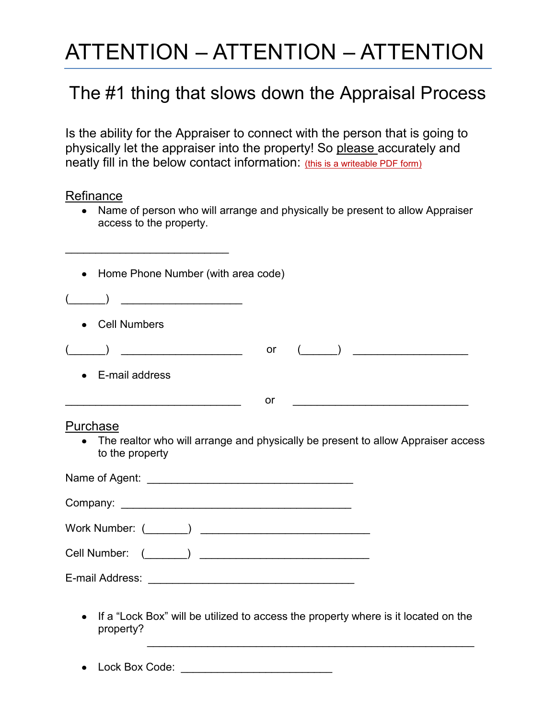## ATTENTION – ATTENTION – ATTENTION

## The #1 thing that slows down the Appraisal Process

Is the ability for the Appraiser to connect with the person that is going to physically let the appraiser into the property! So please accurately and neatly fill in the below contact information: (this is a writeable PDF form)

## **Refinance**

 $\overline{\phantom{a}}$  , where  $\overline{\phantom{a}}$  , where  $\overline{\phantom{a}}$  , where  $\overline{\phantom{a}}$  , where  $\overline{\phantom{a}}$ 

• Name of person who will arrange and physically be present to allow Appraiser access to the property.

| Home Phone Number (with area code)                                                                              |    |                                                |
|-----------------------------------------------------------------------------------------------------------------|----|------------------------------------------------|
|                                                                                                                 |    |                                                |
| <b>Cell Numbers</b>                                                                                             |    |                                                |
| <u> 1980 - Johann Barbara, martin a</u>                                                                         | or | $\begin{pmatrix} 1 & 1 \\ 1 & 1 \end{pmatrix}$ |
| E-mail address                                                                                                  |    |                                                |
|                                                                                                                 | or |                                                |
| Purchase<br>The realtor who will arrange and physically be present to allow Appraiser access<br>to the property |    |                                                |
|                                                                                                                 |    |                                                |
|                                                                                                                 |    |                                                |
| $\begin{pmatrix} 1 & 1 \\ 1 & 1 \end{pmatrix}$<br>Cell Number:                                                  |    |                                                |
|                                                                                                                 |    |                                                |
| If a "Lock Box" will be utilized to access the property where is it located on the<br>property?                 |    |                                                |
| Lock Box Code:                                                                                                  |    |                                                |